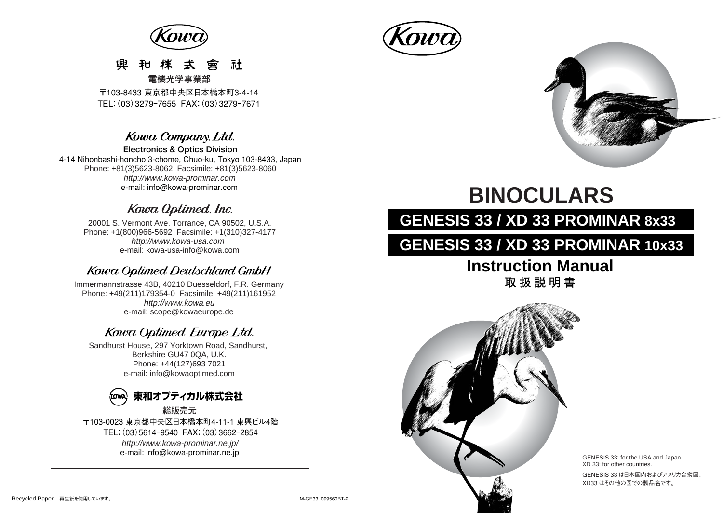

#### 凾 社 ≠ **電機光学事業部**

〒103-8433 東京都中央区日本橋本町3-4-14 TEL:(03)3279ー7655 FAX:(03)3279ー7671

### Kowa Company. Ltd.

**Electronics & Optics Division**  4-14 Nihonbashi-honcho 3-chome, Chuo-ku, Tokyo 103-8433, Japan Phone: +81(3)5623-8062 Facsimile: +81(3)5623-8060 http://www.kowa-prominar.com e-mail: info@kowa-prominar.com

### Kowa Optimed. Inc.

20001 S. Vermont Ave. Torrance, CA 90502, U.S.A. Phone: +1(800)966-5692 Facsimile: +1(310)327-4177 e-mail: kowa-usa-info@kowa.com http://www.kowa-usa.com

### **Kowa Optimed Deutschland GmbH**

http://www.kowa.eu e-mail: scope@kowaeurope.de Immermannstrasse 43B, 40210 Duesseldorf, F.R. Germany Phone: +49(211)179354-0 Facsimile: +49(211)161952

## Kowa Optimed Europe Ltd.

Sandhurst House, 297 Yorktown Road, Sandhurst, Berkshire GU47 0QA, U.K. Phone: +44(127)693 7021 e-mail: info@kowaoptimed.com



〒103-0023 東京都中央区日本橋本町4-11-1 東興ビル4階 TEL:(03)5614ー9540 FAX:(03)3662ー2854 http://www.kowa-prominar.ne.jp/ e-mail: info@kowa-prominar.ne.jp **総販売元** 





# **BINOCULARS**

# **GENESIS 33 / XD 33 PROMINAR 8x33**

# **GENESIS 33 / XD 33 PROMINAR 10x33**

# **Instruction Manual 取扱説明書**



GENESIS 33: for the USA and Japan, XD 33: for other countries. GENESIS 33 は日本国内およびアメリカ合衆国、 XD33 はその他の国での製品名です。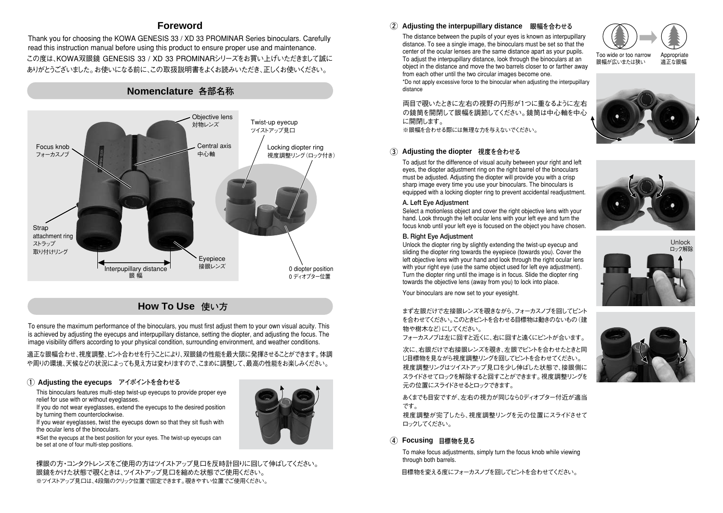### **Foreword**

この度は、KOWA双眼鏡 GENESIS 33 / XD 33 PROMINARシリーズをお買い上げいただきまして誠に ありがとうございました。お使いになる前に、この取扱説明書をよくお読みいただき、正しくお使いください。 Thank you for choosing the KOWA GENESIS 33 / XD 33 PROMINAR Series binoculars. Carefully read this instruction manual before using this product to ensure proper use and maintenance.

**Nomenclature 各部名称** 

#### Focus knob フォーカスノブ Objective lens 対物レンズ Central axis 中心軸 Eyepiece<br>接眼レンズ 0 diopter position 0 ディオプター位置 Twist-up eyecup ツイストアップ見口 Interpupillary distance 眼 幅 **Strap** attachment ring ストラップ 取り付けリング Locking diopter ring 視度調整リング(ロック付き)

**How To Use 使い方** 

To ensure the maximum performance of the binoculars, you must first adjust them to your own visual acuity. This is achieved by adjusting the eyecups and interpupillary distance, setting the diopter, and adjusting the focus. The image visibility differs according to your physical condition, surrounding environment, and weather conditions.

適正な眼幅合わせ、視度調整、ピント合わせを行うことにより、双眼鏡の性能を最大限に発揮させることができます。体調 や周りの環境、天候などの状況によっても見え方は変わりますので、こまめに調整して、最高の性能をお楽しみください。

#### **Adjusting the eyecups ① アイポイントを合わせる**

This binoculars features multi-step twist-up eyecups to provide proper eye relief for use with or without eyeglasses.

If you do not wear eyeglasses, extend the eyecups to the desired position by turning them counterclockwise.

If you wear eyeglasses, twist the eyecups down so that they sit flush with the ocular lens of the binoculars.

\*Set the eyecups at the best position for your eyes. The twist-up eyecups can be set at one of four multi-step positions.

裸眼の方・コンタクトレンズをご使用の方はツイストアップ見口を反時計回りに回して伸ばしてください。 眼鏡をかけた状態で覗くときは、ツイストアップ見口を縮めた状態でご使用ください。 ※ツイストアップ見口は、4段階のクリック位置で固定できます。覗きやすい位置でご使用ください。

#### **② Adjusting the interpupillary distance 眼幅を合わせる**

The distance between the pupils of your eyes is known as interpupillary distance. To see a single image, the binoculars must be set so that the center of the ocular lenses are the same distance apart as your pupils. To adjust the interpupillary distance, look through the binoculars at an object in the distance and move the two barrels closer to or farther away from each other until the two circular images become one.



\*Do not apply excessive force to the binocular when adjusting the interpupillary dictores

両目で覗いたときに左右の視野の円形が1つに重なるように左右 の鏡筒を開閉して眼幅を調節してください。鏡筒は中心軸を中心 に開閉します。

※眼幅を合わせる際には無理な力を与えないでください。

#### **③ Adjusting the diopter 視度を合わせる**

To adjust for the difference of visual acuity between your right and left eyes, the diopter adjustment ring on the right barrel of the binoculars must be adjusted. Adjusting the diopter will provide you with a crisp sharp image every time you use your binoculars. The binoculars is equipped with a locking diopter ring to prevent accidental readjustment.

#### **A. Left Eye Adjustment**

Select a motionless object and cover the right objective lens with your hand. Look through the left ocular lens with your left eye and turn the focus knob until your left eye is focused on the object you have chosen.

#### **B. Right Eye Adjustment**

Unlock the diopter ring by slightly extending the twist-up eyecup and sliding the diopter ring towards the eyepiece (towards you). Cover the left objective lens with your hand and look through the right ocular lens with your right eye (use the same object used for left eye adjustment). Turn the diopter ring until the image is in focus. Slide the diopter ring towards the objective lens (away from you) to lock into place.

Your binoculars are now set to your evesight.

まず左眼だけで左接眼レンズを覗きながら、フォーカスノブを回してピント を合わせてください。このときピントを合わせる目標物は動きのないもの(建 物や樹木など)にしてください。

フォーカスノブは左に回すと近くに、右に回すと遠くにピントが合います。

次に、右眼だけで右接眼レンズを覗き、左眼でピントを合わせたときと同 じ目標物を見ながら視度調整リングを回してピントを合わせてください。 視度調整リングはツイストアップ見口を少し伸ばした状態で、接眼側に スライドさせてロックを解除すると回すことができます。視度調整リングを 元の位置にスライドさせるとロックできます。

あくまでも目安ですが、左右の視力が同じなら0ディオプター付近が適当 です。

視度調整が完了したら、視度調整リングを元の位置にスライドさせて ロックしてください。

#### **④ Focusing 目標物を見る**

To make focus adjustments, simply turn the focus knob while viewing through both barrels.

目標物を変える度にフォーカスノブを回してピントを合わせてください。







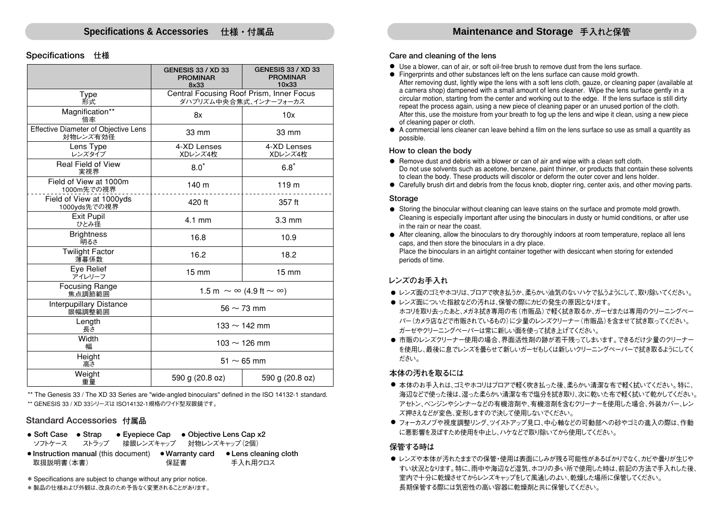#### **Specifications 仕様**

|                                                  | <b>GENESIS 33 / XD 33</b><br><b>PROMINAR</b><br>8x33              | <b>GENESIS 33 / XD 33</b><br><b>PROMINAR</b><br>10x33 |
|--------------------------------------------------|-------------------------------------------------------------------|-------------------------------------------------------|
| Type<br>形式                                       | Central Focusing Roof Prism, Inner Focus<br>ダハプリズム中央合焦式、インナーフォーカス |                                                       |
| Magnification**<br>倍率                            | 8x                                                                | 10x                                                   |
| Effective Diameter of Objective Lens<br>対物レンズ有効径 | 33 mm<br>33 mm                                                    |                                                       |
| Lens Type<br>レンズタイプ                              | 4-XD Lenses<br>4-XD Lenses<br>XDレンズ4枚<br>XDレンズ4枚                  |                                                       |
| <b>Real Field of View</b><br>実視界                 | $8.0^\circ$                                                       | $6.8^\circ$                                           |
| Field of View at 1000m<br>1000m先での視界             | 140 m                                                             | 119 m                                                 |
| Field of View at 1000yds<br>1000yds先での視界         | 420 ft                                                            | 357 ft                                                |
| <b>Exit Pupil</b><br>ひとみ径                        | $4.1$ mm                                                          | 3.3 mm                                                |
| <b>Brightness</b><br>明るさ                         | 16.8                                                              | 10.9                                                  |
| <b>Twilight Factor</b><br>薄暮係数                   | 16.2                                                              | 18.2                                                  |
| Eve Relief<br>アイレリーフ                             | $15 \text{ mm}$                                                   | $15 \text{ mm}$                                       |
| <b>Focusing Range</b><br>焦点調節範囲                  | 1.5 m $\sim \infty$ (4.9 ft $\sim \infty$ )                       |                                                       |
| <b>Interpupillary Distance</b><br>眼幅調整範囲         | $56 \sim 73$ mm                                                   |                                                       |
| Length<br>長さ                                     | 133 $\sim$ 142 mm                                                 |                                                       |
| Width<br>幅                                       | $103 \sim 126$ mm                                                 |                                                       |
| Height<br>高さ                                     | $51 \sim 65$ mm                                                   |                                                       |
| Weight<br>重量                                     | 590 g (20.8 oz)                                                   | 590 g (20.8 oz)                                       |

\*\* The Genesis 33 / The XD 33 Series are "wide-angled binoculars" defined in the ISO 14132-1 standard. \*\* GENESIS 33 / XD 33シリーズは ISO14132-1規格のワイド型双眼鏡です。

#### **Standard Accessories 付属品**

| $\bullet$ Soft Case $\bullet$ Strap                                               | • Evepiece Cap • Objective Lens Cap $x2$ |                                  |
|-----------------------------------------------------------------------------------|------------------------------------------|----------------------------------|
| ストラップ<br>ソフトケース                                                                   | 接眼レンズキャップ 対物レンズキャップ(2個)                  |                                  |
| $\bullet$ Instruction manual (this document) $\bullet$ Warranty card<br>取扱説明書(本書) | 保証書                                      | • Lens cleaning cloth<br>手入れ用クロス |

\* Specifications are subject to change without any prior notice.

\* 製品の仕様および外観は、改良のため予告なく変更されることがあります。

#### **Care and cleaning of the lens**

- Use a blower, can of air, or soft oil-free brush to remove dust from the lens surface.
- Fingerprints and other substances left on the lens surface can cause mold growth.
- After removing dust, lightly wipe the lens with a soft lens cloth, gauze, or cleaning paper (available at a camera shop) dampened with a small amount of lens cleaner. Wipe the lens surface gently in a circular motion, starting from the center and working out to the edge. If the lens surface is still dirty repeat the process again, using a new piece of cleaning paper or an unused portion of the cloth. After this, use the moisture from your breath to fog up the lens and wipe it clean, using a new piece of cleaning paper or cloth.
- A commercial lens cleaner can leave behind a film on the lens surface so use as small a quantity as possible.

#### **How to clean the body**

- $\bullet$  Remove dust and debris with a blower or can of air and wipe with a clean soft cloth. Do not use solvents such as acetone, benzene, paint thinner, or products that contain these solvents to clean the body. These products will discolor or deform the outer cover and lens holder.
- Carefully brush dirt and debris from the focus knob, diopter ring, center axis, and other moving parts.

#### **Storage**

- Storing the binocular without cleaning can leave stains on the surface and promote mold growth. Cleaning is especially important after using the binoculars in dusty or humid conditions, or after use in the rain or near the coast.
- After cleaning, allow the binoculars to dry thoroughly indoors at room temperature, replace all lens caps, and then store the binoculars in a dry place. Place the binoculars in an airtight container together with desiccant when storing for extended periods of time.

#### **レンズのお手入れ**

- レンズ面のゴミやホコリは、フロアで吹き払うか、柔らかい油気のないハケで払うようにして、取り除いてください。
- レンズ面についた指紋などの汚れは、保管の際にカビの発生の原因となります。 ホコリを取り去ったあと、メガネ拭き専用の布(市販品)で軽く拭き取るか、ガーゼまたは専用のクリーニングペー パー(カメラ店などで市販されているもの)に少量のレンズクリーナー(市販品)を含ませて拭き取ってください。 ガーゼやクリーニングペーパーは常に新しい面を使って拭き上げてください。
- 市販のレンズクリーナー使用の場合、界面活性剤の跡が若干残ってしまいます。できるだけ少量のクリーナー を使用し、最後に息でレンズを曇らせて新しいガーゼもしくは新しいクリーニングペーパーで拭き取るようにしてく ださい。

#### **本体の汚れを取るには**

- 本体のお手入れは、ゴミやホコリはブロアで軽く吹き払った後、柔らかい清潔な布で軽く拭いてください。特に、 海辺などで使った後は、湿った柔らかい清潔な布で塩分を拭き取り、次に乾いた布で軽く拭いて乾かしてください。 アセトン、ベンジンやシンナーなどの有機溶剤や、有機溶剤を含むクリーナーを使用した場合、外装カバー、レン ズ押さえなどが変色、変形しますので決して使用しないでください。
- フォーカスノフや視度調整リング、ツイストアップ見口、中心軸などの可動部への砂やゴミの進入の際は、作動 に悪影響を及ぼすため使用を中止し、ハケなどで取り除いてから使用してください。

#### **保管する時は**

● レンズや本体が汚れたままでの保管・使用は表面にしみが残る可能性があるばかりでなく、カビや曇りが生じや すい状況となります。特に、雨中や海辺など湿気、ホコリの多い所で使用した時は、前記の方法で手入れした後、 室内で十分に乾燥させてからレンズキャップをして風通しのよい、乾燥した場所に保管してください。 長期保管する際には気密性の高い容器に乾燥剤と共に保管してください。